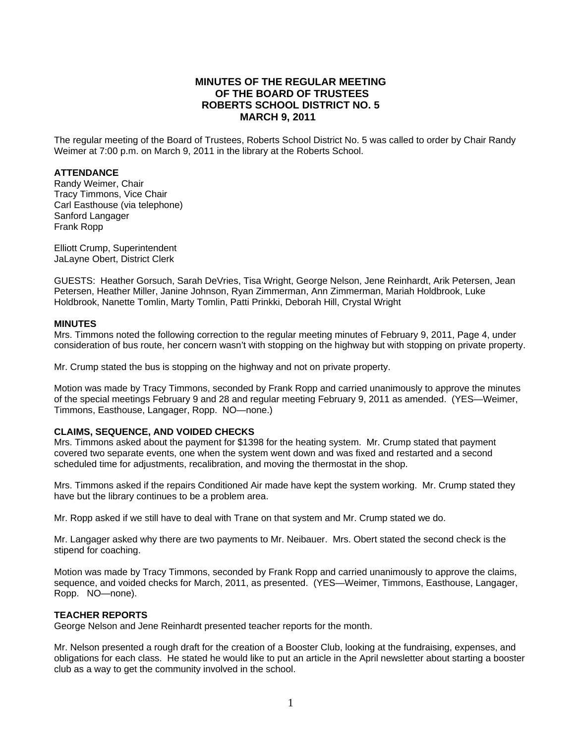## **MINUTES OF THE REGULAR MEETING OF THE BOARD OF TRUSTEES ROBERTS SCHOOL DISTRICT NO. 5 MARCH 9, 2011**

The regular meeting of the Board of Trustees, Roberts School District No. 5 was called to order by Chair Randy Weimer at 7:00 p.m. on March 9, 2011 in the library at the Roberts School.

#### **ATTENDANCE**

Randy Weimer, Chair Tracy Timmons, Vice Chair Carl Easthouse (via telephone) Sanford Langager Frank Ropp

Elliott Crump, Superintendent JaLayne Obert, District Clerk

GUESTS: Heather Gorsuch, Sarah DeVries, Tisa Wright, George Nelson, Jene Reinhardt, Arik Petersen, Jean Petersen, Heather Miller, Janine Johnson, Ryan Zimmerman, Ann Zimmerman, Mariah Holdbrook, Luke Holdbrook, Nanette Tomlin, Marty Tomlin, Patti Prinkki, Deborah Hill, Crystal Wright

#### **MINUTES**

Mrs. Timmons noted the following correction to the regular meeting minutes of February 9, 2011, Page 4, under consideration of bus route, her concern wasn't with stopping on the highway but with stopping on private property.

Mr. Crump stated the bus is stopping on the highway and not on private property.

Motion was made by Tracy Timmons, seconded by Frank Ropp and carried unanimously to approve the minutes of the special meetings February 9 and 28 and regular meeting February 9, 2011 as amended. (YES—Weimer, Timmons, Easthouse, Langager, Ropp. NO—none.)

#### **CLAIMS, SEQUENCE, AND VOIDED CHECKS**

Mrs. Timmons asked about the payment for \$1398 for the heating system. Mr. Crump stated that payment covered two separate events, one when the system went down and was fixed and restarted and a second scheduled time for adjustments, recalibration, and moving the thermostat in the shop.

Mrs. Timmons asked if the repairs Conditioned Air made have kept the system working. Mr. Crump stated they have but the library continues to be a problem area.

Mr. Ropp asked if we still have to deal with Trane on that system and Mr. Crump stated we do.

Mr. Langager asked why there are two payments to Mr. Neibauer. Mrs. Obert stated the second check is the stipend for coaching.

Motion was made by Tracy Timmons, seconded by Frank Ropp and carried unanimously to approve the claims, sequence, and voided checks for March, 2011, as presented. (YES—Weimer, Timmons, Easthouse, Langager, Ropp. NO—none).

#### **TEACHER REPORTS**

George Nelson and Jene Reinhardt presented teacher reports for the month.

Mr. Nelson presented a rough draft for the creation of a Booster Club, looking at the fundraising, expenses, and obligations for each class. He stated he would like to put an article in the April newsletter about starting a booster club as a way to get the community involved in the school.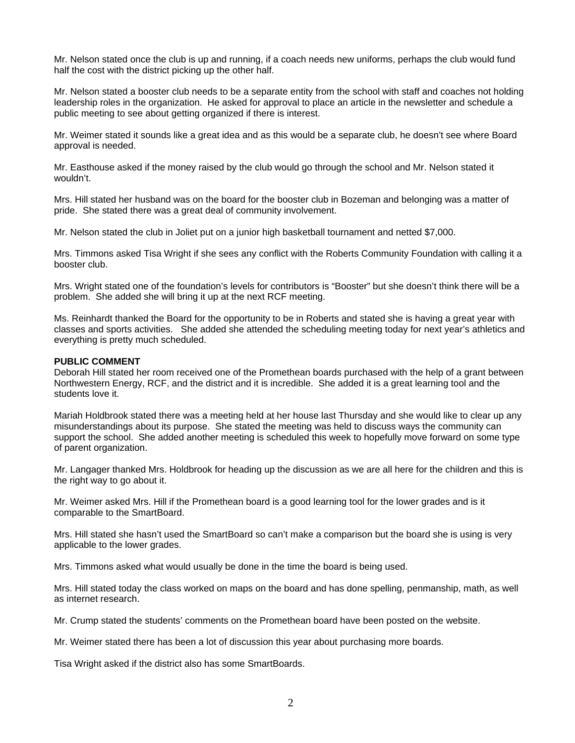Mr. Nelson stated once the club is up and running, if a coach needs new uniforms, perhaps the club would fund half the cost with the district picking up the other half.

Mr. Nelson stated a booster club needs to be a separate entity from the school with staff and coaches not holding leadership roles in the organization. He asked for approval to place an article in the newsletter and schedule a public meeting to see about getting organized if there is interest.

Mr. Weimer stated it sounds like a great idea and as this would be a separate club, he doesn't see where Board approval is needed.

Mr. Easthouse asked if the money raised by the club would go through the school and Mr. Nelson stated it wouldn't.

Mrs. Hill stated her husband was on the board for the booster club in Bozeman and belonging was a matter of pride. She stated there was a great deal of community involvement.

Mr. Nelson stated the club in Joliet put on a junior high basketball tournament and netted \$7,000.

Mrs. Timmons asked Tisa Wright if she sees any conflict with the Roberts Community Foundation with calling it a booster club.

Mrs. Wright stated one of the foundation's levels for contributors is "Booster" but she doesn't think there will be a problem. She added she will bring it up at the next RCF meeting.

Ms. Reinhardt thanked the Board for the opportunity to be in Roberts and stated she is having a great year with classes and sports activities. She added she attended the scheduling meeting today for next year's athletics and everything is pretty much scheduled.

#### **PUBLIC COMMENT**

Deborah Hill stated her room received one of the Promethean boards purchased with the help of a grant between Northwestern Energy, RCF, and the district and it is incredible. She added it is a great learning tool and the students love it.

Mariah Holdbrook stated there was a meeting held at her house last Thursday and she would like to clear up any misunderstandings about its purpose. She stated the meeting was held to discuss ways the community can support the school. She added another meeting is scheduled this week to hopefully move forward on some type of parent organization.

Mr. Langager thanked Mrs. Holdbrook for heading up the discussion as we are all here for the children and this is the right way to go about it.

Mr. Weimer asked Mrs. Hill if the Promethean board is a good learning tool for the lower grades and is it comparable to the SmartBoard.

Mrs. Hill stated she hasn't used the SmartBoard so can't make a comparison but the board she is using is very applicable to the lower grades.

Mrs. Timmons asked what would usually be done in the time the board is being used.

Mrs. Hill stated today the class worked on maps on the board and has done spelling, penmanship, math, as well as internet research.

Mr. Crump stated the students' comments on the Promethean board have been posted on the website.

Mr. Weimer stated there has been a lot of discussion this year about purchasing more boards.

Tisa Wright asked if the district also has some SmartBoards.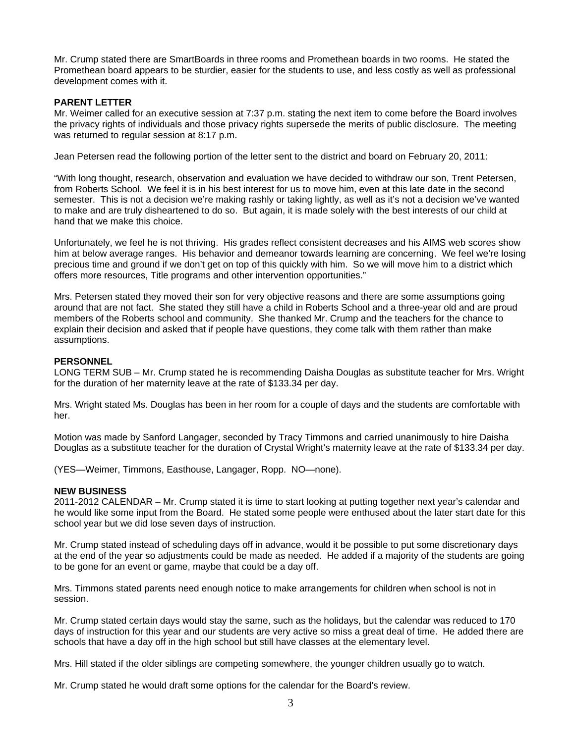Mr. Crump stated there are SmartBoards in three rooms and Promethean boards in two rooms. He stated the Promethean board appears to be sturdier, easier for the students to use, and less costly as well as professional development comes with it.

### **PARENT LETTER**

Mr. Weimer called for an executive session at 7:37 p.m. stating the next item to come before the Board involves the privacy rights of individuals and those privacy rights supersede the merits of public disclosure. The meeting was returned to regular session at 8:17 p.m.

Jean Petersen read the following portion of the letter sent to the district and board on February 20, 2011:

"With long thought, research, observation and evaluation we have decided to withdraw our son, Trent Petersen, from Roberts School. We feel it is in his best interest for us to move him, even at this late date in the second semester. This is not a decision we're making rashly or taking lightly, as well as it's not a decision we've wanted to make and are truly disheartened to do so. But again, it is made solely with the best interests of our child at hand that we make this choice.

Unfortunately, we feel he is not thriving. His grades reflect consistent decreases and his AIMS web scores show him at below average ranges. His behavior and demeanor towards learning are concerning. We feel we're losing precious time and ground if we don't get on top of this quickly with him. So we will move him to a district which offers more resources, Title programs and other intervention opportunities."

Mrs. Petersen stated they moved their son for very objective reasons and there are some assumptions going around that are not fact. She stated they still have a child in Roberts School and a three-year old and are proud members of the Roberts school and community. She thanked Mr. Crump and the teachers for the chance to explain their decision and asked that if people have questions, they come talk with them rather than make assumptions.

#### **PERSONNEL**

LONG TERM SUB – Mr. Crump stated he is recommending Daisha Douglas as substitute teacher for Mrs. Wright for the duration of her maternity leave at the rate of \$133.34 per day.

Mrs. Wright stated Ms. Douglas has been in her room for a couple of days and the students are comfortable with her.

Motion was made by Sanford Langager, seconded by Tracy Timmons and carried unanimously to hire Daisha Douglas as a substitute teacher for the duration of Crystal Wright's maternity leave at the rate of \$133.34 per day.

(YES—Weimer, Timmons, Easthouse, Langager, Ropp. NO—none).

#### **NEW BUSINESS**

2011-2012 CALENDAR – Mr. Crump stated it is time to start looking at putting together next year's calendar and he would like some input from the Board. He stated some people were enthused about the later start date for this school year but we did lose seven days of instruction.

Mr. Crump stated instead of scheduling days off in advance, would it be possible to put some discretionary days at the end of the year so adjustments could be made as needed. He added if a majority of the students are going to be gone for an event or game, maybe that could be a day off.

Mrs. Timmons stated parents need enough notice to make arrangements for children when school is not in session.

Mr. Crump stated certain days would stay the same, such as the holidays, but the calendar was reduced to 170 days of instruction for this year and our students are very active so miss a great deal of time. He added there are schools that have a day off in the high school but still have classes at the elementary level.

Mrs. Hill stated if the older siblings are competing somewhere, the younger children usually go to watch.

Mr. Crump stated he would draft some options for the calendar for the Board's review.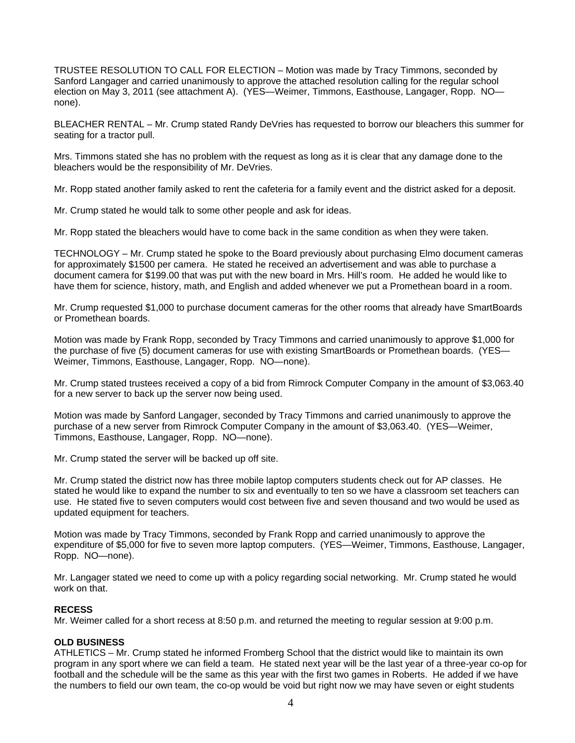TRUSTEE RESOLUTION TO CALL FOR ELECTION – Motion was made by Tracy Timmons, seconded by Sanford Langager and carried unanimously to approve the attached resolution calling for the regular school election on May 3, 2011 (see attachment A). (YES—Weimer, Timmons, Easthouse, Langager, Ropp. NO none).

BLEACHER RENTAL – Mr. Crump stated Randy DeVries has requested to borrow our bleachers this summer for seating for a tractor pull.

Mrs. Timmons stated she has no problem with the request as long as it is clear that any damage done to the bleachers would be the responsibility of Mr. DeVries.

Mr. Ropp stated another family asked to rent the cafeteria for a family event and the district asked for a deposit.

Mr. Crump stated he would talk to some other people and ask for ideas.

Mr. Ropp stated the bleachers would have to come back in the same condition as when they were taken.

TECHNOLOGY – Mr. Crump stated he spoke to the Board previously about purchasing Elmo document cameras for approximately \$1500 per camera. He stated he received an advertisement and was able to purchase a document camera for \$199.00 that was put with the new board in Mrs. Hill's room. He added he would like to have them for science, history, math, and English and added whenever we put a Promethean board in a room.

Mr. Crump requested \$1,000 to purchase document cameras for the other rooms that already have SmartBoards or Promethean boards.

Motion was made by Frank Ropp, seconded by Tracy Timmons and carried unanimously to approve \$1,000 for the purchase of five (5) document cameras for use with existing SmartBoards or Promethean boards. (YES— Weimer, Timmons, Easthouse, Langager, Ropp. NO—none).

Mr. Crump stated trustees received a copy of a bid from Rimrock Computer Company in the amount of \$3,063.40 for a new server to back up the server now being used.

Motion was made by Sanford Langager, seconded by Tracy Timmons and carried unanimously to approve the purchase of a new server from Rimrock Computer Company in the amount of \$3,063.40. (YES—Weimer, Timmons, Easthouse, Langager, Ropp. NO—none).

Mr. Crump stated the server will be backed up off site.

Mr. Crump stated the district now has three mobile laptop computers students check out for AP classes. He stated he would like to expand the number to six and eventually to ten so we have a classroom set teachers can use. He stated five to seven computers would cost between five and seven thousand and two would be used as updated equipment for teachers.

Motion was made by Tracy Timmons, seconded by Frank Ropp and carried unanimously to approve the expenditure of \$5,000 for five to seven more laptop computers. (YES—Weimer, Timmons, Easthouse, Langager, Ropp. NO—none).

Mr. Langager stated we need to come up with a policy regarding social networking. Mr. Crump stated he would work on that.

## **RECESS**

Mr. Weimer called for a short recess at 8:50 p.m. and returned the meeting to regular session at 9:00 p.m.

## **OLD BUSINESS**

ATHLETICS – Mr. Crump stated he informed Fromberg School that the district would like to maintain its own program in any sport where we can field a team. He stated next year will be the last year of a three-year co-op for football and the schedule will be the same as this year with the first two games in Roberts. He added if we have the numbers to field our own team, the co-op would be void but right now we may have seven or eight students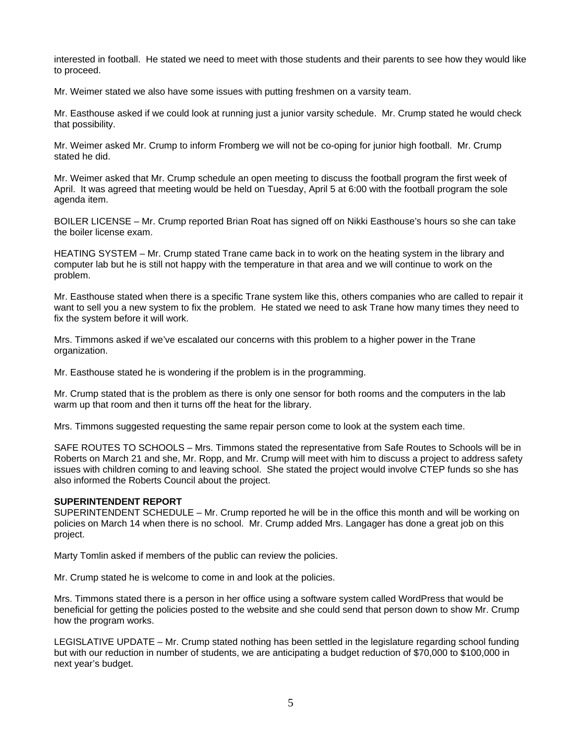interested in football. He stated we need to meet with those students and their parents to see how they would like to proceed.

Mr. Weimer stated we also have some issues with putting freshmen on a varsity team.

Mr. Easthouse asked if we could look at running just a junior varsity schedule. Mr. Crump stated he would check that possibility.

Mr. Weimer asked Mr. Crump to inform Fromberg we will not be co-oping for junior high football. Mr. Crump stated he did.

Mr. Weimer asked that Mr. Crump schedule an open meeting to discuss the football program the first week of April. It was agreed that meeting would be held on Tuesday, April 5 at 6:00 with the football program the sole agenda item.

BOILER LICENSE – Mr. Crump reported Brian Roat has signed off on Nikki Easthouse's hours so she can take the boiler license exam.

HEATING SYSTEM – Mr. Crump stated Trane came back in to work on the heating system in the library and computer lab but he is still not happy with the temperature in that area and we will continue to work on the problem.

Mr. Easthouse stated when there is a specific Trane system like this, others companies who are called to repair it want to sell you a new system to fix the problem. He stated we need to ask Trane how many times they need to fix the system before it will work.

Mrs. Timmons asked if we've escalated our concerns with this problem to a higher power in the Trane organization.

Mr. Easthouse stated he is wondering if the problem is in the programming.

Mr. Crump stated that is the problem as there is only one sensor for both rooms and the computers in the lab warm up that room and then it turns off the heat for the library.

Mrs. Timmons suggested requesting the same repair person come to look at the system each time.

SAFE ROUTES TO SCHOOLS – Mrs. Timmons stated the representative from Safe Routes to Schools will be in Roberts on March 21 and she, Mr. Ropp, and Mr. Crump will meet with him to discuss a project to address safety issues with children coming to and leaving school. She stated the project would involve CTEP funds so she has also informed the Roberts Council about the project.

#### **SUPERINTENDENT REPORT**

SUPERINTENDENT SCHEDULE – Mr. Crump reported he will be in the office this month and will be working on policies on March 14 when there is no school. Mr. Crump added Mrs. Langager has done a great job on this project.

Marty Tomlin asked if members of the public can review the policies.

Mr. Crump stated he is welcome to come in and look at the policies.

Mrs. Timmons stated there is a person in her office using a software system called WordPress that would be beneficial for getting the policies posted to the website and she could send that person down to show Mr. Crump how the program works.

LEGISLATIVE UPDATE – Mr. Crump stated nothing has been settled in the legislature regarding school funding but with our reduction in number of students, we are anticipating a budget reduction of \$70,000 to \$100,000 in next year's budget.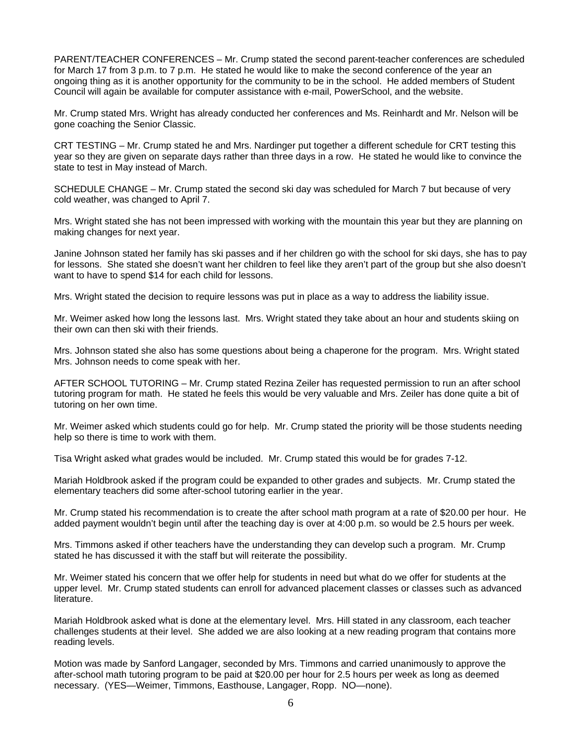PARENT/TEACHER CONFERENCES – Mr. Crump stated the second parent-teacher conferences are scheduled for March 17 from 3 p.m. to 7 p.m. He stated he would like to make the second conference of the year an ongoing thing as it is another opportunity for the community to be in the school. He added members of Student Council will again be available for computer assistance with e-mail, PowerSchool, and the website.

Mr. Crump stated Mrs. Wright has already conducted her conferences and Ms. Reinhardt and Mr. Nelson will be gone coaching the Senior Classic.

CRT TESTING – Mr. Crump stated he and Mrs. Nardinger put together a different schedule for CRT testing this year so they are given on separate days rather than three days in a row. He stated he would like to convince the state to test in May instead of March.

SCHEDULE CHANGE – Mr. Crump stated the second ski day was scheduled for March 7 but because of very cold weather, was changed to April 7.

Mrs. Wright stated she has not been impressed with working with the mountain this year but they are planning on making changes for next year.

Janine Johnson stated her family has ski passes and if her children go with the school for ski days, she has to pay for lessons. She stated she doesn't want her children to feel like they aren't part of the group but she also doesn't want to have to spend \$14 for each child for lessons.

Mrs. Wright stated the decision to require lessons was put in place as a way to address the liability issue.

Mr. Weimer asked how long the lessons last. Mrs. Wright stated they take about an hour and students skiing on their own can then ski with their friends.

Mrs. Johnson stated she also has some questions about being a chaperone for the program. Mrs. Wright stated Mrs. Johnson needs to come speak with her.

AFTER SCHOOL TUTORING – Mr. Crump stated Rezina Zeiler has requested permission to run an after school tutoring program for math. He stated he feels this would be very valuable and Mrs. Zeiler has done quite a bit of tutoring on her own time.

Mr. Weimer asked which students could go for help. Mr. Crump stated the priority will be those students needing help so there is time to work with them.

Tisa Wright asked what grades would be included. Mr. Crump stated this would be for grades 7-12.

Mariah Holdbrook asked if the program could be expanded to other grades and subjects. Mr. Crump stated the elementary teachers did some after-school tutoring earlier in the year.

Mr. Crump stated his recommendation is to create the after school math program at a rate of \$20.00 per hour. He added payment wouldn't begin until after the teaching day is over at 4:00 p.m. so would be 2.5 hours per week.

Mrs. Timmons asked if other teachers have the understanding they can develop such a program. Mr. Crump stated he has discussed it with the staff but will reiterate the possibility.

Mr. Weimer stated his concern that we offer help for students in need but what do we offer for students at the upper level. Mr. Crump stated students can enroll for advanced placement classes or classes such as advanced literature.

Mariah Holdbrook asked what is done at the elementary level. Mrs. Hill stated in any classroom, each teacher challenges students at their level. She added we are also looking at a new reading program that contains more reading levels.

Motion was made by Sanford Langager, seconded by Mrs. Timmons and carried unanimously to approve the after-school math tutoring program to be paid at \$20.00 per hour for 2.5 hours per week as long as deemed necessary. (YES—Weimer, Timmons, Easthouse, Langager, Ropp. NO—none).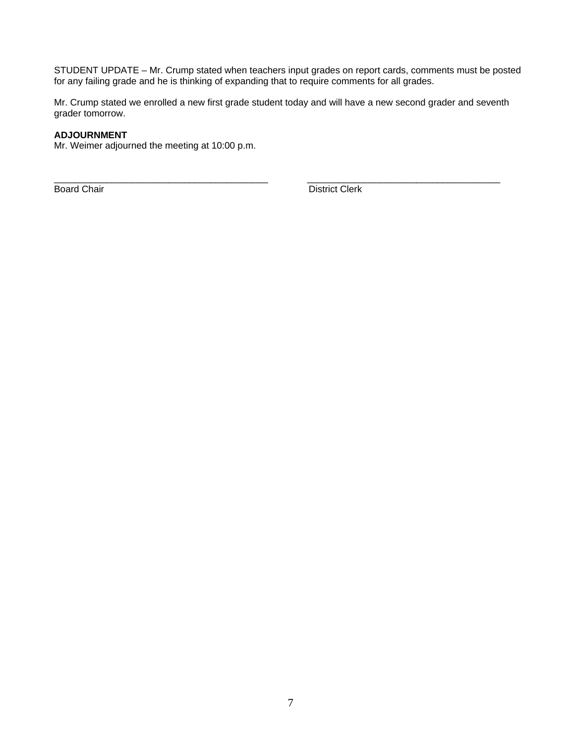STUDENT UPDATE – Mr. Crump stated when teachers input grades on report cards, comments must be posted for any failing grade and he is thinking of expanding that to require comments for all grades.

Mr. Crump stated we enrolled a new first grade student today and will have a new second grader and seventh grader tomorrow.

\_\_\_\_\_\_\_\_\_\_\_\_\_\_\_\_\_\_\_\_\_\_\_\_\_\_\_\_\_\_\_\_\_\_\_\_\_\_\_\_\_ \_\_\_\_\_\_\_\_\_\_\_\_\_\_\_\_\_\_\_\_\_\_\_\_\_\_\_\_\_\_\_\_\_\_\_\_\_

## **ADJOURNMENT**

Mr. Weimer adjourned the meeting at 10:00 p.m.

**Board Chair** District Clerk